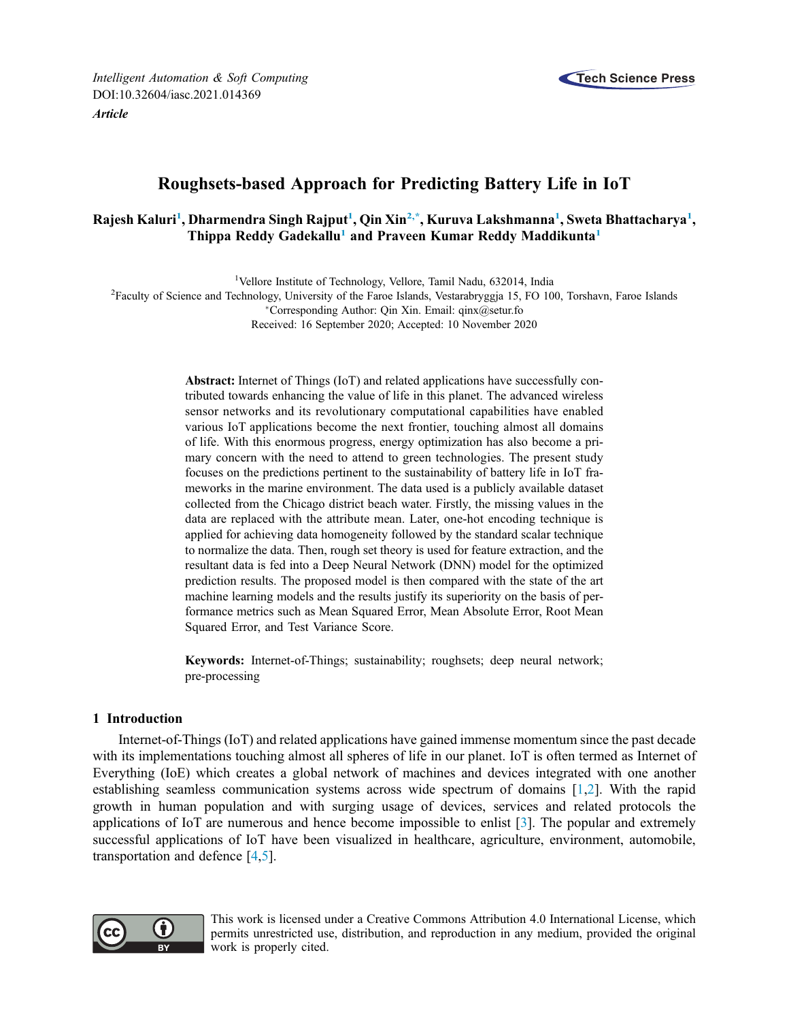*Intelligent Automation & Soft Computing* DOI:10.32604/iasc.2021.014369 *Article*



# Roughsets-based Approach for Predicting Battery Life in IoT

## Rajesh Kaluri<sup>1</sup>, Dharmendra Singh Rajput<sup>1</sup>, Qin Xin<sup>2,\*</sup>, Kuruva Lakshmanna<sup>1</sup>, Sweta Bhattacharya<sup>1</sup>, Thippa Reddy Gadekallu<sup>1</sup> and Praveen Kumar Reddy Maddikunta<sup>1</sup>

<sup>1</sup>Vellore Institute of Technology, Vellore, Tamil Nadu, 632014, India

<sup>2</sup>Faculty of Science and Technology, University of the Faroe Islands, Vestarabryggja 15, FO 100, Torshavn, Faroe Islands

Corresponding Author: Qin Xin. Email: qinx@setur.fo

Received: 16 September 2020; Accepted: 10 November 2020

Abstract: Internet of Things (IoT) and related applications have successfully contributed towards enhancing the value of life in this planet. The advanced wireless sensor networks and its revolutionary computational capabilities have enabled various IoT applications become the next frontier, touching almost all domains of life. With this enormous progress, energy optimization has also become a primary concern with the need to attend to green technologies. The present study focuses on the predictions pertinent to the sustainability of battery life in IoT frameworks in the marine environment. The data used is a publicly available dataset collected from the Chicago district beach water. Firstly, the missing values in the data are replaced with the attribute mean. Later, one-hot encoding technique is applied for achieving data homogeneity followed by the standard scalar technique to normalize the data. Then, rough set theory is used for feature extraction, and the resultant data is fed into a Deep Neural Network (DNN) model for the optimized prediction results. The proposed model is then compared with the state of the art machine learning models and the results justify its superiority on the basis of performance metrics such as Mean Squared Error, Mean Absolute Error, Root Mean Squared Error, and Test Variance Score.

Keywords: Internet-of-Things; sustainability; roughsets; deep neural network; pre-processing

#### 1 Introduction

Internet-of-Things (IoT) and related applications have gained immense momentum since the past decade with its implementations touching almost all spheres of life in our planet. IoT is often termed as Internet of Everything (IoE) which creates a global network of machines and devices integrated with one another establishing seamless communication systems across wide spectrum of domains [1,2]. With the rapid growth in human population and with surging usage of devices, services and related protocols the applications of IoT are numerous and hence become impossible to enlist [3]. The popular and extremely successful applications of IoT have been visualized in healthcare, agriculture, environment, automobile, transportation and defence [4,5].



This work is licensed under a Creative Commons Attribution 4.0 International License, which permits unrestricted use, distribution, and reproduction in any medium, provided the original work is properly cited.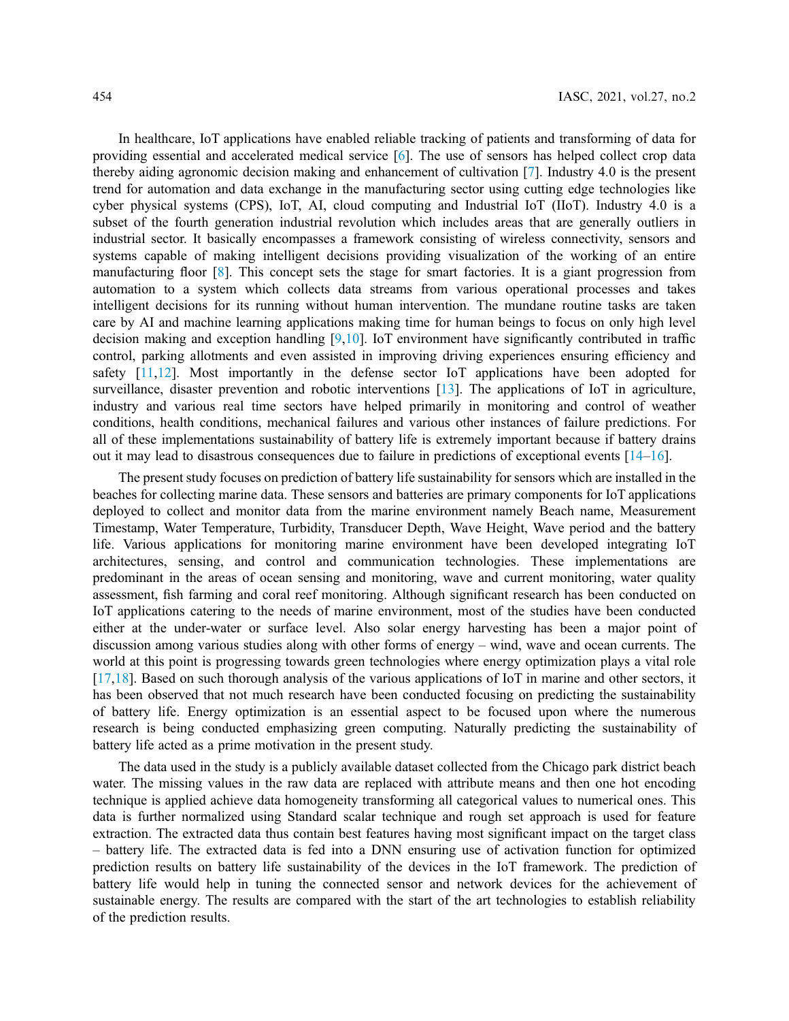In healthcare, IoT applications have enabled reliable tracking of patients and transforming of data for providing essential and accelerated medical service [6]. The use of sensors has helped collect crop data thereby aiding agronomic decision making and enhancement of cultivation [7]. Industry 4.0 is the present trend for automation and data exchange in the manufacturing sector using cutting edge technologies like cyber physical systems (CPS), IoT, AI, cloud computing and Industrial IoT (IIoT). Industry 4.0 is a subset of the fourth generation industrial revolution which includes areas that are generally outliers in industrial sector. It basically encompasses a framework consisting of wireless connectivity, sensors and systems capable of making intelligent decisions providing visualization of the working of an entire manufacturing floor [8]. This concept sets the stage for smart factories. It is a giant progression from automation to a system which collects data streams from various operational processes and takes intelligent decisions for its running without human intervention. The mundane routine tasks are taken care by AI and machine learning applications making time for human beings to focus on only high level decision making and exception handling [9,10]. IoT environment have significantly contributed in traffic control, parking allotments and even assisted in improving driving experiences ensuring efficiency and safety  $[11,12]$ . Most importantly in the defense sector IoT applications have been adopted for surveillance, disaster prevention and robotic interventions [13]. The applications of IoT in agriculture, industry and various real time sectors have helped primarily in monitoring and control of weather conditions, health conditions, mechanical failures and various other instances of failure predictions. For all of these implementations sustainability of battery life is extremely important because if battery drains out it may lead to disastrous consequences due to failure in predictions of exceptional events [14–16].

The present study focuses on prediction of battery life sustainability for sensors which are installed in the beaches for collecting marine data. These sensors and batteries are primary components for IoT applications deployed to collect and monitor data from the marine environment namely Beach name, Measurement Timestamp, Water Temperature, Turbidity, Transducer Depth, Wave Height, Wave period and the battery life. Various applications for monitoring marine environment have been developed integrating IoT architectures, sensing, and control and communication technologies. These implementations are predominant in the areas of ocean sensing and monitoring, wave and current monitoring, water quality assessment, fish farming and coral reef monitoring. Although significant research has been conducted on IoT applications catering to the needs of marine environment, most of the studies have been conducted either at the under-water or surface level. Also solar energy harvesting has been a major point of discussion among various studies along with other forms of energy – wind, wave and ocean currents. The world at this point is progressing towards green technologies where energy optimization plays a vital role  $[17,18]$ . Based on such thorough analysis of the various applications of IoT in marine and other sectors, it has been observed that not much research have been conducted focusing on predicting the sustainability of battery life. Energy optimization is an essential aspect to be focused upon where the numerous research is being conducted emphasizing green computing. Naturally predicting the sustainability of battery life acted as a prime motivation in the present study.

The data used in the study is a publicly available dataset collected from the Chicago park district beach water. The missing values in the raw data are replaced with attribute means and then one hot encoding technique is applied achieve data homogeneity transforming all categorical values to numerical ones. This data is further normalized using Standard scalar technique and rough set approach is used for feature extraction. The extracted data thus contain best features having most significant impact on the target class – battery life. The extracted data is fed into a DNN ensuring use of activation function for optimized prediction results on battery life sustainability of the devices in the IoT framework. The prediction of battery life would help in tuning the connected sensor and network devices for the achievement of sustainable energy. The results are compared with the start of the art technologies to establish reliability of the prediction results.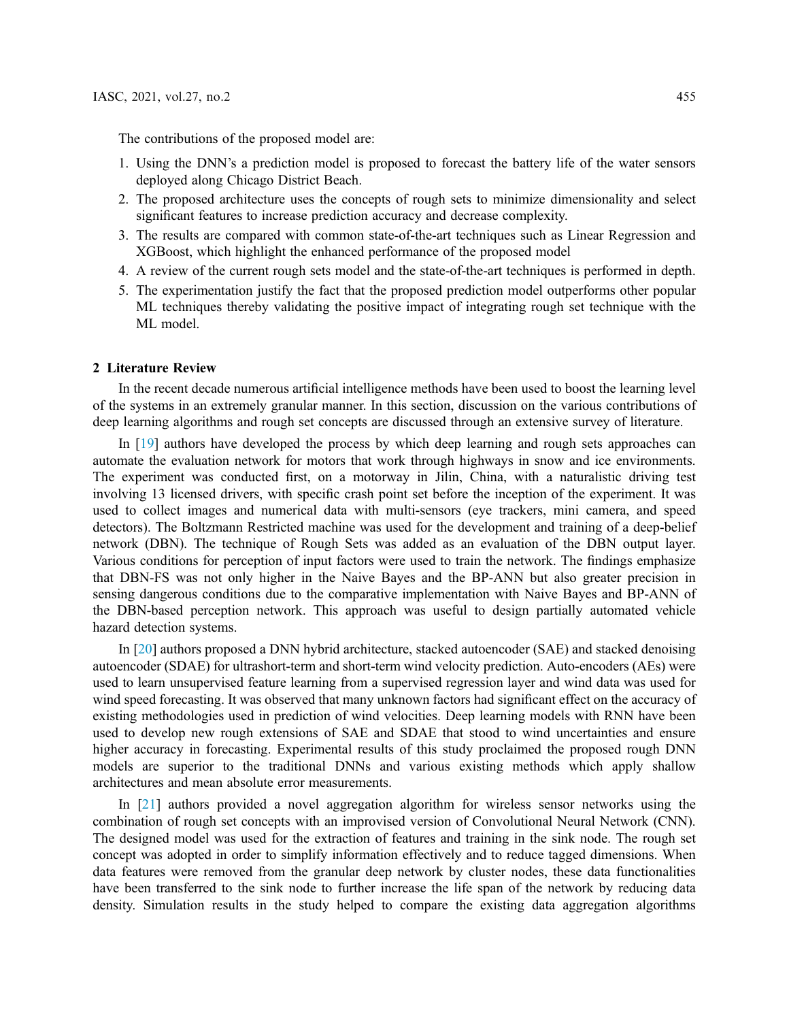The contributions of the proposed model are:

- 1. Using the DNN's a prediction model is proposed to forecast the battery life of the water sensors deployed along Chicago District Beach.
- 2. The proposed architecture uses the concepts of rough sets to minimize dimensionality and select significant features to increase prediction accuracy and decrease complexity.
- 3. The results are compared with common state-of-the-art techniques such as Linear Regression and XGBoost, which highlight the enhanced performance of the proposed model
- 4. A review of the current rough sets model and the state-of-the-art techniques is performed in depth.
- 5. The experimentation justify the fact that the proposed prediction model outperforms other popular ML techniques thereby validating the positive impact of integrating rough set technique with the ML model.

#### 2 Literature Review

In the recent decade numerous artificial intelligence methods have been used to boost the learning level of the systems in an extremely granular manner. In this section, discussion on the various contributions of deep learning algorithms and rough set concepts are discussed through an extensive survey of literature.

In [19] authors have developed the process by which deep learning and rough sets approaches can automate the evaluation network for motors that work through highways in snow and ice environments. The experiment was conducted first, on a motorway in Jilin, China, with a naturalistic driving test involving 13 licensed drivers, with specific crash point set before the inception of the experiment. It was used to collect images and numerical data with multi-sensors (eye trackers, mini camera, and speed detectors). The Boltzmann Restricted machine was used for the development and training of a deep-belief network (DBN). The technique of Rough Sets was added as an evaluation of the DBN output layer. Various conditions for perception of input factors were used to train the network. The findings emphasize that DBN-FS was not only higher in the Naive Bayes and the BP-ANN but also greater precision in sensing dangerous conditions due to the comparative implementation with Naive Bayes and BP-ANN of the DBN-based perception network. This approach was useful to design partially automated vehicle hazard detection systems.

In [20] authors proposed a DNN hybrid architecture, stacked autoencoder (SAE) and stacked denoising autoencoder (SDAE) for ultrashort-term and short-term wind velocity prediction. Auto-encoders (AEs) were used to learn unsupervised feature learning from a supervised regression layer and wind data was used for wind speed forecasting. It was observed that many unknown factors had significant effect on the accuracy of existing methodologies used in prediction of wind velocities. Deep learning models with RNN have been used to develop new rough extensions of SAE and SDAE that stood to wind uncertainties and ensure higher accuracy in forecasting. Experimental results of this study proclaimed the proposed rough DNN models are superior to the traditional DNNs and various existing methods which apply shallow architectures and mean absolute error measurements.

In [21] authors provided a novel aggregation algorithm for wireless sensor networks using the combination of rough set concepts with an improvised version of Convolutional Neural Network (CNN). The designed model was used for the extraction of features and training in the sink node. The rough set concept was adopted in order to simplify information effectively and to reduce tagged dimensions. When data features were removed from the granular deep network by cluster nodes, these data functionalities have been transferred to the sink node to further increase the life span of the network by reducing data density. Simulation results in the study helped to compare the existing data aggregation algorithms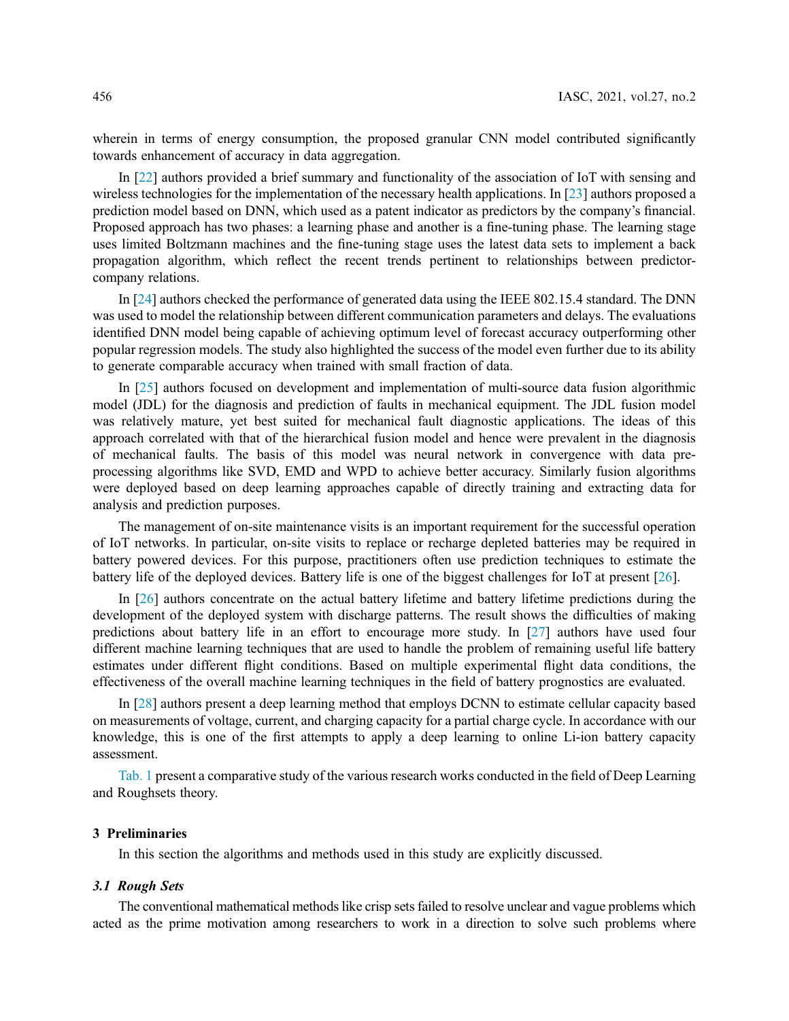wherein in terms of energy consumption, the proposed granular CNN model contributed significantly towards enhancement of accuracy in data aggregation.

In [22] authors provided a brief summary and functionality of the association of IoT with sensing and wireless technologies for the implementation of the necessary health applications. In [23] authors proposed a prediction model based on DNN, which used as a patent indicator as predictors by the company's financial. Proposed approach has two phases: a learning phase and another is a fine-tuning phase. The learning stage uses limited Boltzmann machines and the fine-tuning stage uses the latest data sets to implement a back propagation algorithm, which reflect the recent trends pertinent to relationships between predictorcompany relations.

In [24] authors checked the performance of generated data using the IEEE 802.15.4 standard. The DNN was used to model the relationship between different communication parameters and delays. The evaluations identified DNN model being capable of achieving optimum level of forecast accuracy outperforming other popular regression models. The study also highlighted the success of the model even further due to its ability to generate comparable accuracy when trained with small fraction of data.

In [25] authors focused on development and implementation of multi-source data fusion algorithmic model (JDL) for the diagnosis and prediction of faults in mechanical equipment. The JDL fusion model was relatively mature, yet best suited for mechanical fault diagnostic applications. The ideas of this approach correlated with that of the hierarchical fusion model and hence were prevalent in the diagnosis of mechanical faults. The basis of this model was neural network in convergence with data preprocessing algorithms like SVD, EMD and WPD to achieve better accuracy. Similarly fusion algorithms were deployed based on deep learning approaches capable of directly training and extracting data for analysis and prediction purposes.

The management of on-site maintenance visits is an important requirement for the successful operation of IoT networks. In particular, on-site visits to replace or recharge depleted batteries may be required in battery powered devices. For this purpose, practitioners often use prediction techniques to estimate the battery life of the deployed devices. Battery life is one of the biggest challenges for IoT at present [26].

In [26] authors concentrate on the actual battery lifetime and battery lifetime predictions during the development of the deployed system with discharge patterns. The result shows the difficulties of making predictions about battery life in an effort to encourage more study. In [27] authors have used four different machine learning techniques that are used to handle the problem of remaining useful life battery estimates under different flight conditions. Based on multiple experimental flight data conditions, the effectiveness of the overall machine learning techniques in the field of battery prognostics are evaluated.

In [28] authors present a deep learning method that employs DCNN to estimate cellular capacity based on measurements of voltage, current, and charging capacity for a partial charge cycle. In accordance with our knowledge, this is one of the first attempts to apply a deep learning to online Li-ion battery capacity assessment.

Tab. 1 present a comparative study of the various research works conducted in the field of Deep Learning and Roughsets theory.

#### 3 Preliminaries

In this section the algorithms and methods used in this study are explicitly discussed.

## *3.1 Rough Sets*

The conventional mathematical methods like crisp sets failed to resolve unclear and vague problems which acted as the prime motivation among researchers to work in a direction to solve such problems where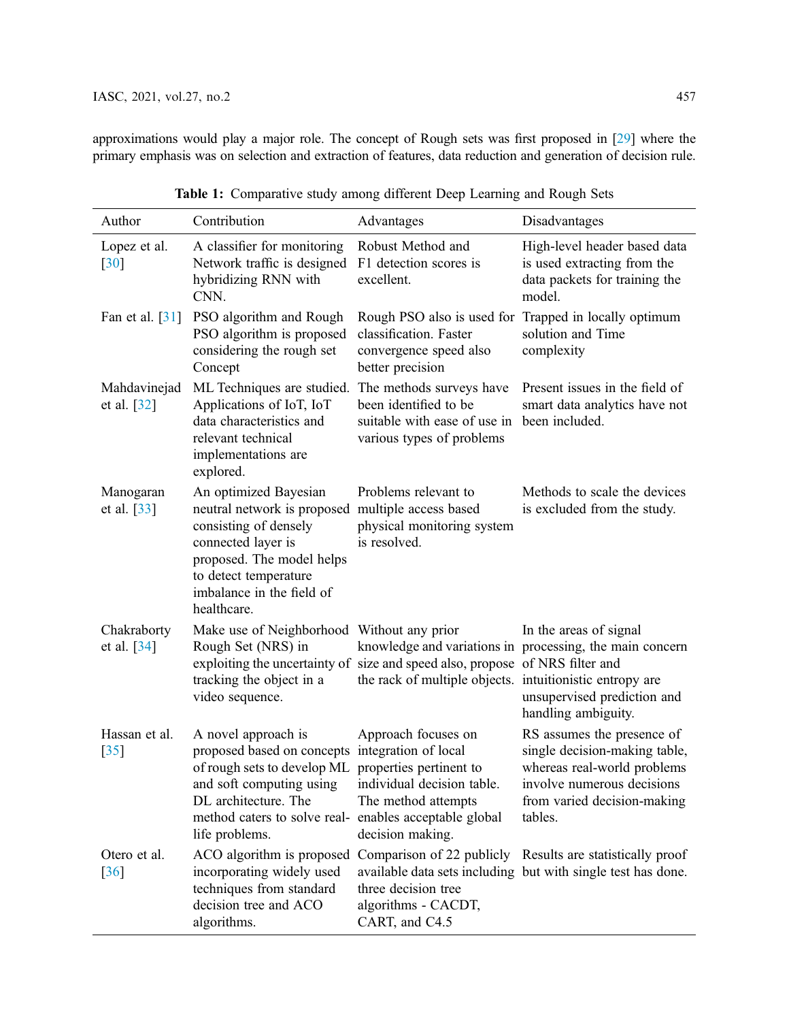approximations would play a major role. The concept of Rough sets was first proposed in [29] where the primary emphasis was on selection and extraction of features, data reduction and generation of decision rule.

| Author                             | Contribution                                                                                                                                                                                                                        | Advantages                                                                                                                               | Disadvantages                                                                                                                                                      |
|------------------------------------|-------------------------------------------------------------------------------------------------------------------------------------------------------------------------------------------------------------------------------------|------------------------------------------------------------------------------------------------------------------------------------------|--------------------------------------------------------------------------------------------------------------------------------------------------------------------|
| Lopez et al.<br>$\lceil 30 \rceil$ | A classifier for monitoring<br>Network traffic is designed<br>hybridizing RNN with<br>CNN.                                                                                                                                          | Robust Method and<br>F1 detection scores is<br>excellent.                                                                                | High-level header based data<br>is used extracting from the<br>data packets for training the<br>model.                                                             |
| Fan et al. [31]                    | PSO algorithm and Rough<br>PSO algorithm is proposed<br>considering the rough set<br>Concept                                                                                                                                        | classification. Faster<br>convergence speed also<br>better precision                                                                     | Rough PSO also is used for Trapped in locally optimum<br>solution and Time<br>complexity                                                                           |
| Mahdavinejad<br>et al. [32]        | ML Techniques are studied.<br>Applications of IoT, IoT<br>data characteristics and<br>relevant technical<br>implementations are<br>explored.                                                                                        | The methods surveys have<br>been identified to be<br>suitable with ease of use in<br>various types of problems                           | Present issues in the field of<br>smart data analytics have not<br>been included.                                                                                  |
| Manogaran<br>et al. [33]           | An optimized Bayesian<br>neutral network is proposed<br>consisting of densely<br>connected layer is<br>proposed. The model helps<br>to detect temperature<br>imbalance in the field of<br>healthcare.                               | Problems relevant to<br>multiple access based<br>physical monitoring system<br>is resolved.                                              | Methods to scale the devices<br>is excluded from the study.                                                                                                        |
| Chakraborty<br>et al. $[34]$       | Make use of Neighborhood Without any prior<br>Rough Set (NRS) in<br>tracking the object in a<br>video sequence.                                                                                                                     | exploiting the uncertainty of size and speed also, propose of NRS filter and<br>the rack of multiple objects. intuitionistic entropy are | In the areas of signal<br>knowledge and variations in processing, the main concern<br>unsupervised prediction and<br>handling ambiguity.                           |
| Hassan et al.<br>$[35]$            | A novel approach is<br>proposed based on concepts integration of local<br>of rough sets to develop ML properties pertinent to<br>and soft computing using<br>DL architecture. The<br>method caters to solve real-<br>life problems. | Approach focuses on<br>individual decision table.<br>The method attempts<br>enables acceptable global<br>decision making.                | RS assumes the presence of<br>single decision-making table,<br>whereas real-world problems<br>involve numerous decisions<br>from varied decision-making<br>tables. |
| Otero et al.<br>$\lceil 36 \rceil$ | ACO algorithm is proposed<br>incorporating widely used<br>techniques from standard<br>decision tree and ACO<br>algorithms.                                                                                                          | Comparison of 22 publicly<br>three decision tree<br>algorithms - CACDT,<br>CART, and C4.5                                                | Results are statistically proof<br>available data sets including but with single test has done.                                                                    |

|  | Table 1: Comparative study among different Deep Learning and Rough Sets |  |
|--|-------------------------------------------------------------------------|--|
|  |                                                                         |  |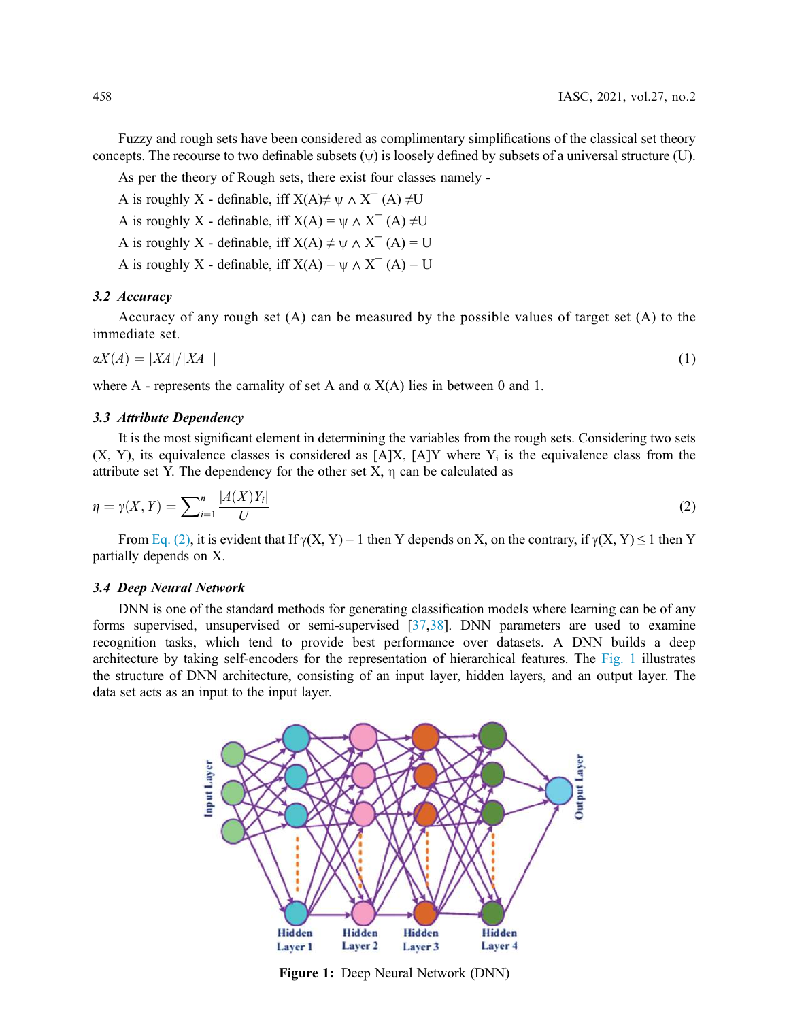Fuzzy and rough sets have been considered as complimentary simplifications of the classical set theory concepts. The recourse to two definable subsets (ψ) is loosely defined by subsets of a universal structure (U).

As per the theory of Rough sets, there exist four classes namely -

- A is roughly X definable, iff  $X(A) \neq \psi \wedge X^{-}(A) \neq U$
- A is roughly X definable, iff  $X(A) = \psi \wedge X^{-}(A) \neq U$
- A is roughly X definable, iff  $X(A) \neq \psi \wedge X^{-}(A) = U$
- A is roughly X definable, iff  $X(A) = \psi \wedge X^{-}(A) = U$

## *3.2 Accuracy*

Accuracy of any rough set (A) can be measured by the possible values of target set (A) to the immediate set.

$$
\alpha X(A) = |XA|/|XA^-| \tag{1}
$$

where A - represents the carnality of set A and  $\alpha$  X(A) lies in between 0 and 1.

## *3.3 Attribute Dependency*

It is the most significant element in determining the variables from the rough sets. Considering two sets  $(X, Y)$ , its equivalence classes is considered as  $[A]X$ ,  $[A]Y$  where  $Y_i$  is the equivalence class from the attribute set Y. The dependency for the other set  $X$ ,  $\eta$  can be calculated as

$$
\eta = \gamma(X, Y) = \sum_{i=1}^{n} \frac{|A(X)Y_i|}{U} \tag{2}
$$

From Eq. (2), it is evident that If  $\gamma(X, Y) = 1$  then Y depends on X, on the contrary, if  $\gamma(X, Y) \le 1$  then Y partially depends on X.

### *3.4 Deep Neural Network*

DNN is one of the standard methods for generating classification models where learning can be of any forms supervised, unsupervised or semi-supervised [37,38]. DNN parameters are used to examine recognition tasks, which tend to provide best performance over datasets. A DNN builds a deep architecture by taking self-encoders for the representation of hierarchical features. The Fig. 1 illustrates the structure of DNN architecture, consisting of an input layer, hidden layers, and an output layer. The data set acts as an input to the input layer.



Figure 1: Deep Neural Network (DNN)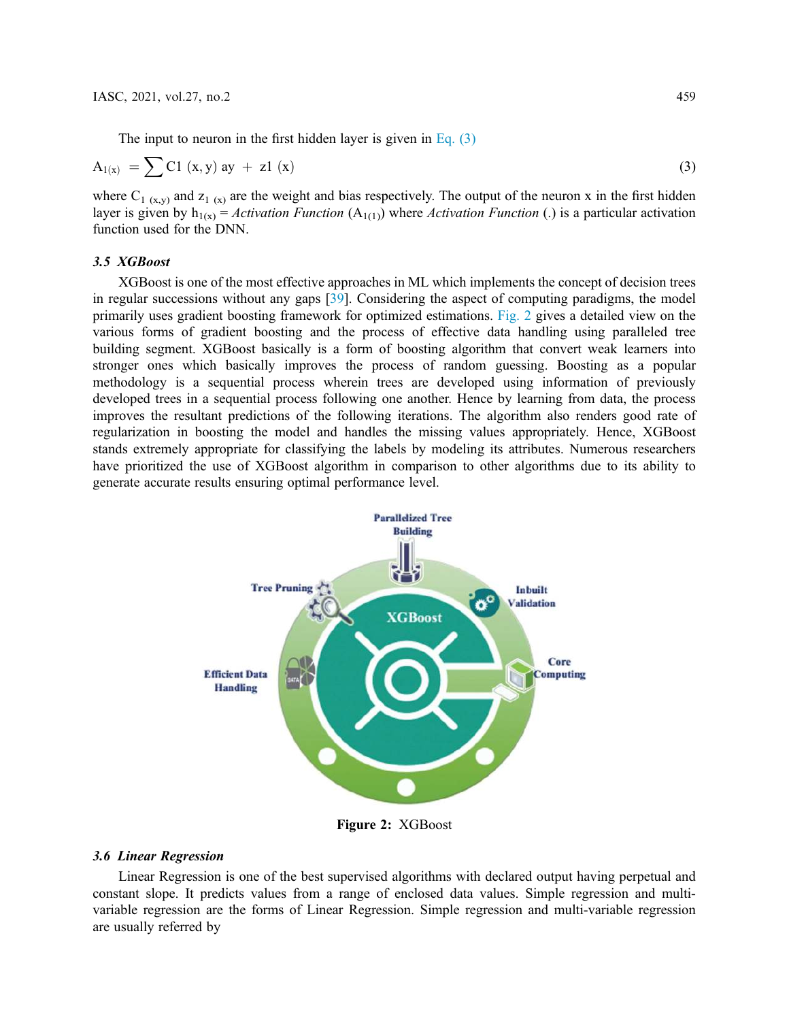$$
A_{1(x)} = \sum C1 (x, y) ay + z1 (x)
$$
 (3)

where  $C_{1 (x,y)}$  and  $z_{1 (x)}$  are the weight and bias respectively. The output of the neuron x in the first hidden layer is given by  $h_{1(x)} =$  *Activation Function* (A<sub>1(1)</sub>) where *Activation Function* (.) is a particular activation function used for the DNN.

## *3.5 XGBoost*

XGBoost is one of the most effective approaches in ML which implements the concept of decision trees in regular successions without any gaps [39]. Considering the aspect of computing paradigms, the model primarily uses gradient boosting framework for optimized estimations. Fig. 2 gives a detailed view on the various forms of gradient boosting and the process of effective data handling using paralleled tree building segment. XGBoost basically is a form of boosting algorithm that convert weak learners into stronger ones which basically improves the process of random guessing. Boosting as a popular methodology is a sequential process wherein trees are developed using information of previously developed trees in a sequential process following one another. Hence by learning from data, the process improves the resultant predictions of the following iterations. The algorithm also renders good rate of regularization in boosting the model and handles the missing values appropriately. Hence, XGBoost stands extremely appropriate for classifying the labels by modeling its attributes. Numerous researchers have prioritized the use of XGBoost algorithm in comparison to other algorithms due to its ability to generate accurate results ensuring optimal performance level.



Figure 2: XGBoost

#### *3.6 Linear Regression*

Linear Regression is one of the best supervised algorithms with declared output having perpetual and constant slope. It predicts values from a range of enclosed data values. Simple regression and multivariable regression are the forms of Linear Regression. Simple regression and multi-variable regression are usually referred by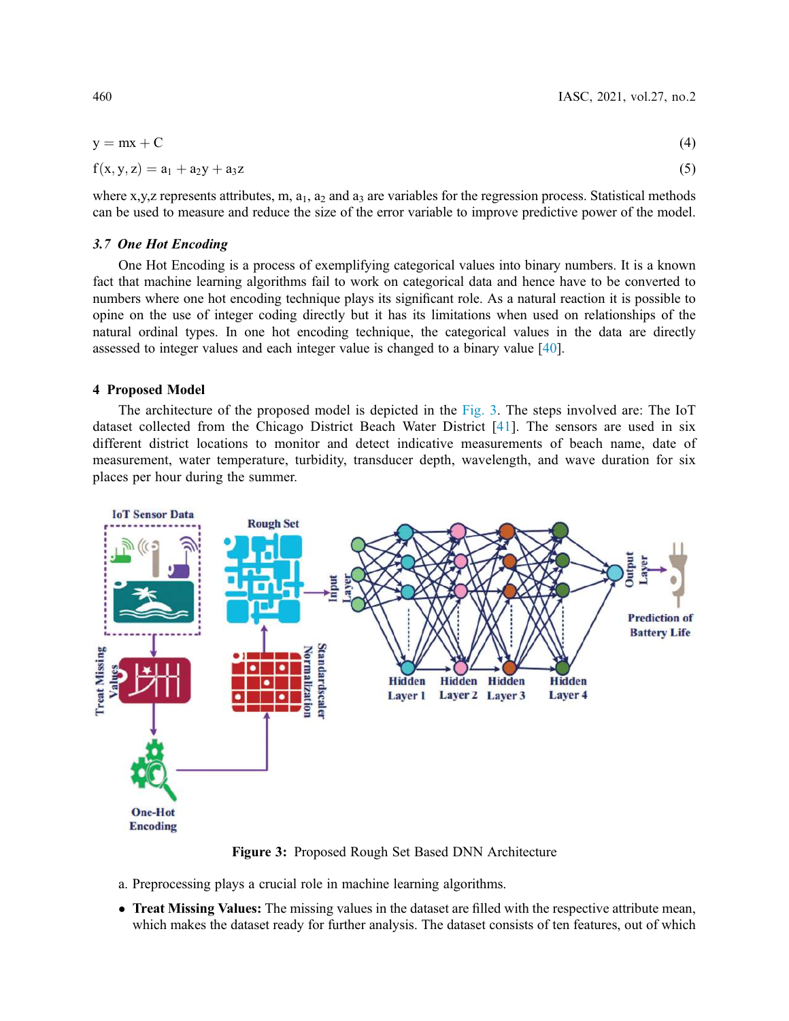$$
y = mx + C \tag{4}
$$

$$
f(x, y, z) = a_1 + a_2 y + a_3 z \tag{5}
$$

where x,y,z represents attributes, m,  $a_1$ ,  $a_2$  and  $a_3$  are variables for the regression process. Statistical methods can be used to measure and reduce the size of the error variable to improve predictive power of the model.

#### *3.7 One Hot Encoding*

One Hot Encoding is a process of exemplifying categorical values into binary numbers. It is a known fact that machine learning algorithms fail to work on categorical data and hence have to be converted to numbers where one hot encoding technique plays its significant role. As a natural reaction it is possible to opine on the use of integer coding directly but it has its limitations when used on relationships of the natural ordinal types. In one hot encoding technique, the categorical values in the data are directly assessed to integer values and each integer value is changed to a binary value [40].

## 4 Proposed Model

The architecture of the proposed model is depicted in the Fig. 3. The steps involved are: The IoT dataset collected from the Chicago District Beach Water District [41]. The sensors are used in six different district locations to monitor and detect indicative measurements of beach name, date of measurement, water temperature, turbidity, transducer depth, wavelength, and wave duration for six places per hour during the summer.



Figure 3: Proposed Rough Set Based DNN Architecture

- a. Preprocessing plays a crucial role in machine learning algorithms.
- Treat Missing Values: The missing values in the dataset are filled with the respective attribute mean, which makes the dataset ready for further analysis. The dataset consists of ten features, out of which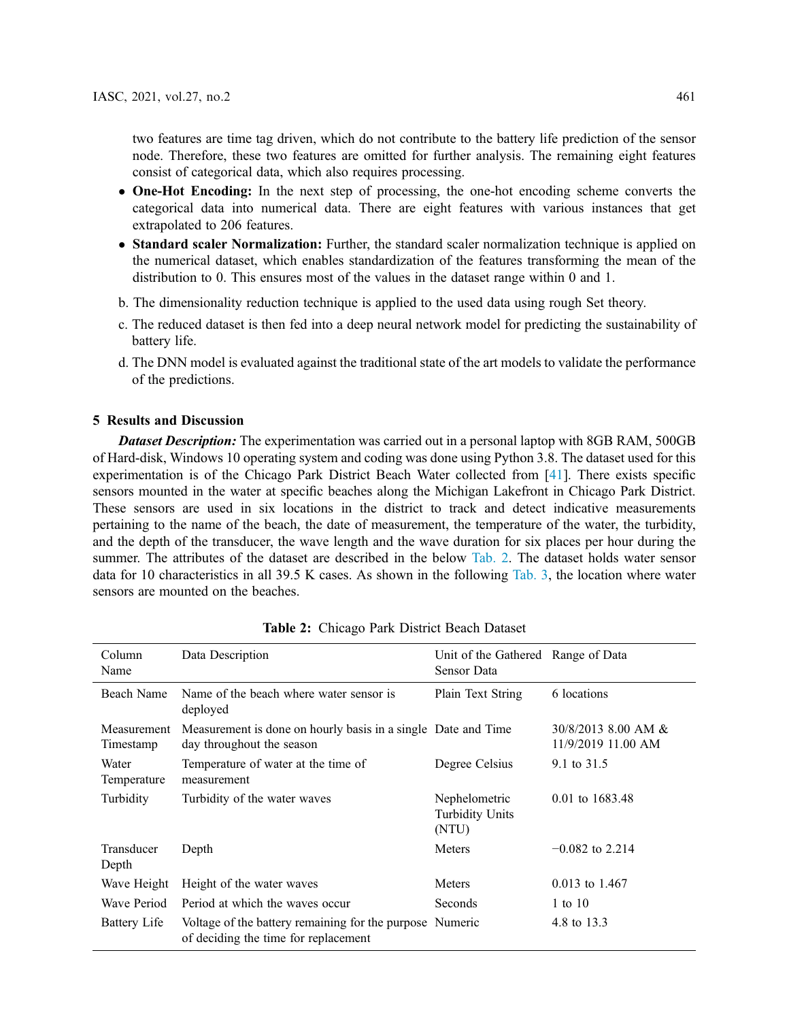two features are time tag driven, which do not contribute to the battery life prediction of the sensor node. Therefore, these two features are omitted for further analysis. The remaining eight features consist of categorical data, which also requires processing.

- One-Hot Encoding: In the next step of processing, the one-hot encoding scheme converts the categorical data into numerical data. There are eight features with various instances that get extrapolated to 206 features.
- Standard scaler Normalization: Further, the standard scaler normalization technique is applied on the numerical dataset, which enables standardization of the features transforming the mean of the distribution to 0. This ensures most of the values in the dataset range within 0 and 1.
- b. The dimensionality reduction technique is applied to the used data using rough Set theory.
- c. The reduced dataset is then fed into a deep neural network model for predicting the sustainability of battery life.
- d. The DNN model is evaluated against the traditional state of the art models to validate the performance of the predictions.

## 5 Results and Discussion

*Dataset Description:* The experimentation was carried out in a personal laptop with 8GB RAM, 500GB of Hard-disk, Windows 10 operating system and coding was done using Python 3.8. The dataset used for this experimentation is of the Chicago Park District Beach Water collected from [41]. There exists specific sensors mounted in the water at specific beaches along the Michigan Lakefront in Chicago Park District. These sensors are used in six locations in the district to track and detect indicative measurements pertaining to the name of the beach, the date of measurement, the temperature of the water, the turbidity, and the depth of the transducer, the wave length and the wave duration for six places per hour during the summer. The attributes of the dataset are described in the below Tab. 2. The dataset holds water sensor data for 10 characteristics in all 39.5 K cases. As shown in the following Tab. 3, the location where water sensors are mounted on the beaches.

| Column<br>Name           | Data Description                                                                                 | Unit of the Gathered Range of Data<br>Sensor Data |                                             |
|--------------------------|--------------------------------------------------------------------------------------------------|---------------------------------------------------|---------------------------------------------|
| Beach Name               | Name of the beach where water sensor is<br>deployed                                              | Plain Text String                                 | 6 locations                                 |
| Measurement<br>Timestamp | Measurement is done on hourly basis in a single Date and Time<br>day throughout the season       |                                                   | $30/8/2013$ 8.00 AM &<br>11/9/2019 11.00 AM |
| Water<br>Temperature     | Temperature of water at the time of<br>measurement                                               | Degree Celsius                                    | 9.1 to 31.5                                 |
| Turbidity                | Turbidity of the water waves                                                                     | Nephelometric<br><b>Turbidity Units</b><br>(NTU)  | 0.01 to 1683.48                             |
| Transducer<br>Depth      | Depth                                                                                            | Meters                                            | $-0.082$ to 2.214                           |
| Wave Height              | Height of the water waves                                                                        | Meters                                            | $0.013$ to 1.467                            |
| Wave Period              | Period at which the waves occur                                                                  | Seconds                                           | 1 to $10$                                   |
| <b>Battery Life</b>      | Voltage of the battery remaining for the purpose Numeric<br>of deciding the time for replacement |                                                   | 4.8 to 13.3                                 |

|  | Table 2: Chicago Park District Beach Dataset |  |  |  |  |
|--|----------------------------------------------|--|--|--|--|
|--|----------------------------------------------|--|--|--|--|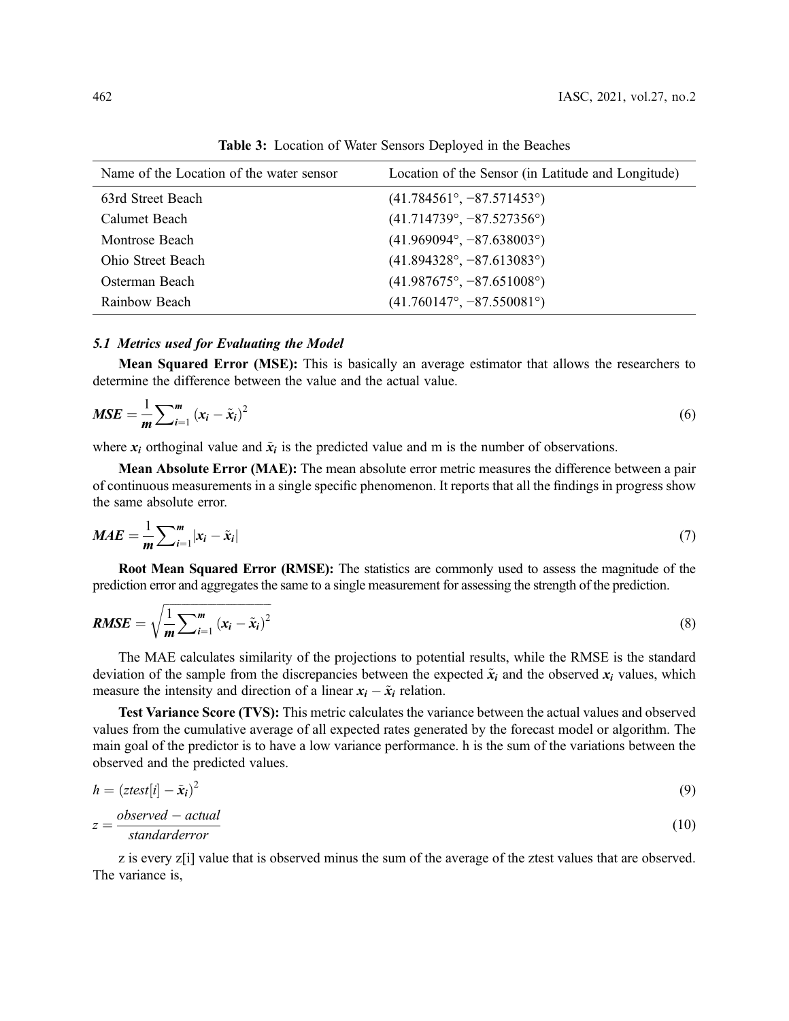| Name of the Location of the water sensor | Location of the Sensor (in Latitude and Longitude) |
|------------------------------------------|----------------------------------------------------|
| 63rd Street Beach                        | $(41.784561^{\circ}, -87.571453^{\circ})$          |
| Calumet Beach                            | $(41.714739^{\circ}, -87.527356^{\circ})$          |
| Montrose Beach                           | $(41.969094^{\circ}, -87.638003^{\circ})$          |
| Ohio Street Beach                        | $(41.894328^{\circ}, -87.613083^{\circ})$          |
| Osterman Beach                           | $(41.987675^{\circ}, -87.651008^{\circ})$          |
| Rainbow Beach                            | $(41.760147^{\circ}, -87.550081^{\circ})$          |

Table 3: Location of Water Sensors Deployed in the Beaches

#### *5.1 Metrics used for Evaluating the Model*

Mean Squared Error (MSE): This is basically an average estimator that allows the researchers to determine the difference between the value and the actual value.

$$
MSE = \frac{1}{m} \sum_{i=1}^{m} (x_i - \tilde{x}_i)^2
$$
\n(6)

where  $x_i$  orthoginal value and  $\tilde{x}_i$  is the predicted value and m is the number of observations.

Mean Absolute Error (MAE): The mean absolute error metric measures the difference between a pair of continuous measurements in a single specific phenomenon. It reports that all the findings in progress show the same absolute error.

$$
MAE = \frac{1}{m} \sum_{i=1}^{m} |x_i - \tilde{x}_i|
$$
\n(7)

Root Mean Squared Error (RMSE): The statistics are commonly used to assess the magnitude of the prediction error and aggregates the same to a single measurement for assessing the strength of the prediction.

$$
RMSE = \sqrt{\frac{1}{m} \sum_{i=1}^{m} (x_i - \tilde{x}_i)^2}
$$
\n(8)

The MAE calculates similarity of the projections to potential results, while the RMSE is the standard deviation of the sample from the discrepancies between the expected  $\tilde{x}_i$  and the observed  $x_i$  values, which measure the intensity and direction of a linear  $x_i - \tilde{x}_i$  relation.

Test Variance Score (TVS): This metric calculates the variance between the actual values and observed values from the cumulative average of all expected rates generated by the forecast model or algorithm. The main goal of the predictor is to have a low variance performance. h is the sum of the variations between the observed and the predicted values.

$$
h = (ztest[i] - \tilde{x}_i)^2 \tag{9}
$$

$$
z = \frac{observed - actual}{standard error} \tag{10}
$$

z is every z[i] value that is observed minus the sum of the average of the ztest values that are observed. The variance is,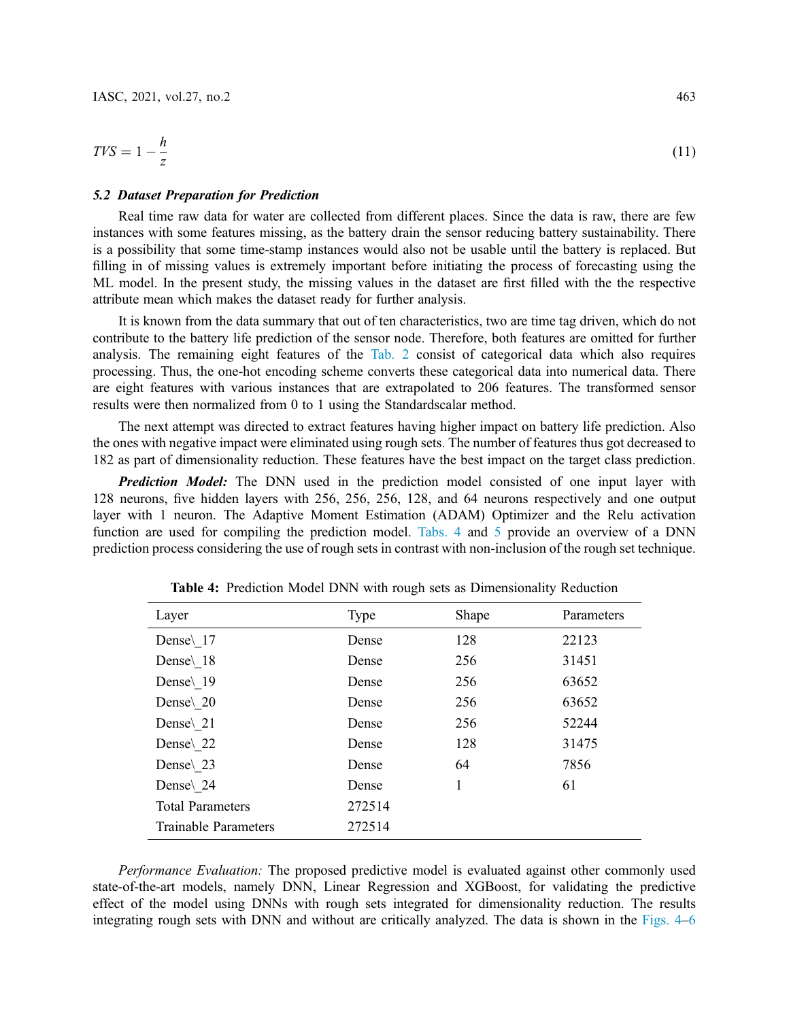$$
TVS = 1 - \frac{h}{z} \tag{11}
$$

#### *5.2 Dataset Preparation for Prediction*

Real time raw data for water are collected from different places. Since the data is raw, there are few instances with some features missing, as the battery drain the sensor reducing battery sustainability. There is a possibility that some time-stamp instances would also not be usable until the battery is replaced. But filling in of missing values is extremely important before initiating the process of forecasting using the ML model. In the present study, the missing values in the dataset are first filled with the the respective attribute mean which makes the dataset ready for further analysis.

It is known from the data summary that out of ten characteristics, two are time tag driven, which do not contribute to the battery life prediction of the sensor node. Therefore, both features are omitted for further analysis. The remaining eight features of the Tab. 2 consist of categorical data which also requires processing. Thus, the one-hot encoding scheme converts these categorical data into numerical data. There are eight features with various instances that are extrapolated to 206 features. The transformed sensor results were then normalized from 0 to 1 using the Standardscalar method.

The next attempt was directed to extract features having higher impact on battery life prediction. Also the ones with negative impact were eliminated using rough sets. The number of features thus got decreased to 182 as part of dimensionality reduction. These features have the best impact on the target class prediction.

*Prediction Model:* The DNN used in the prediction model consisted of one input layer with 128 neurons, five hidden layers with 256, 256, 256, 128, and 64 neurons respectively and one output layer with 1 neuron. The Adaptive Moment Estimation (ADAM) Optimizer and the Relu activation function are used for compiling the prediction model. Tabs. 4 and 5 provide an overview of a DNN prediction process considering the use of rough sets in contrast with non-inclusion of the rough set technique.

| Layer                   | Type   | Shape | Parameters |
|-------------------------|--------|-------|------------|
| Dense\ 17               | Dense  | 128   | 22123      |
| Dense 18                | Dense  | 256   | 31451      |
| Dense\ 19               | Dense  | 256   | 63652      |
| Dense\ 20               | Dense  | 256   | 63652      |
| Dense\ 21               | Dense  | 256   | 52244      |
| Dense\ 22               | Dense  | 128   | 31475      |
| Dense\ 23               | Dense  | 64    | 7856       |
| Dense\ 24               | Dense  | 1     | 61         |
| <b>Total Parameters</b> | 272514 |       |            |
| Trainable Parameters    | 272514 |       |            |

Table 4: Prediction Model DNN with rough sets as Dimensionality Reduction

*Performance Evaluation:* The proposed predictive model is evaluated against other commonly used state-of-the-art models, namely DNN, Linear Regression and XGBoost, for validating the predictive effect of the model using DNNs with rough sets integrated for dimensionality reduction. The results integrating rough sets with DNN and without are critically analyzed. The data is shown in the Figs. 4–6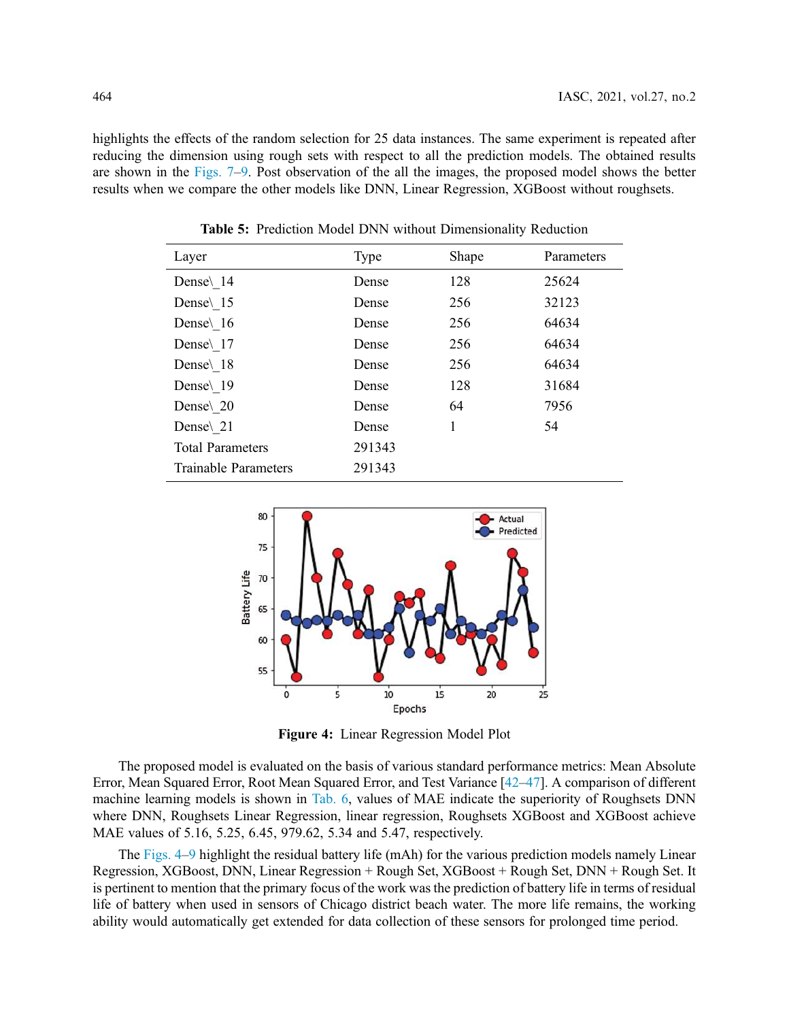highlights the effects of the random selection for 25 data instances. The same experiment is repeated after reducing the dimension using rough sets with respect to all the prediction models. The obtained results are shown in the Figs. 7–9. Post observation of the all the images, the proposed model shows the better results when we compare the other models like DNN, Linear Regression, XGBoost without roughsets.

| Layer                       | Type   | Shape | Parameters |
|-----------------------------|--------|-------|------------|
| Dense\ 14                   | Dense  | 128   | 25624      |
| Dense $\setminus$ 15        | Dense  | 256   | 32123      |
| Dense\ 16                   | Dense  | 256   | 64634      |
| Dense\ 17                   | Dense  | 256   | 64634      |
| Dense\ 18                   | Dense  | 256   | 64634      |
| Dense\ 19                   | Dense  | 128   | 31684      |
| Dense\ 20                   | Dense  | 64    | 7956       |
| Dense\ 21                   | Dense  | 1     | 54         |
| <b>Total Parameters</b>     | 291343 |       |            |
| <b>Trainable Parameters</b> | 291343 |       |            |

Table 5: Prediction Model DNN without Dimensionality Reduction



Figure 4: Linear Regression Model Plot

The proposed model is evaluated on the basis of various standard performance metrics: Mean Absolute Error, Mean Squared Error, Root Mean Squared Error, and Test Variance [42–47]. A comparison of different machine learning models is shown in Tab. 6, values of MAE indicate the superiority of Roughsets DNN where DNN, Roughsets Linear Regression, linear regression, Roughsets XGBoost and XGBoost achieve MAE values of 5.16, 5.25, 6.45, 979.62, 5.34 and 5.47, respectively.

The Figs. 4–9 highlight the residual battery life (mAh) for the various prediction models namely Linear Regression, XGBoost, DNN, Linear Regression + Rough Set, XGBoost + Rough Set, DNN + Rough Set. It is pertinent to mention that the primary focus of the work was the prediction of battery life in terms of residual life of battery when used in sensors of Chicago district beach water. The more life remains, the working ability would automatically get extended for data collection of these sensors for prolonged time period.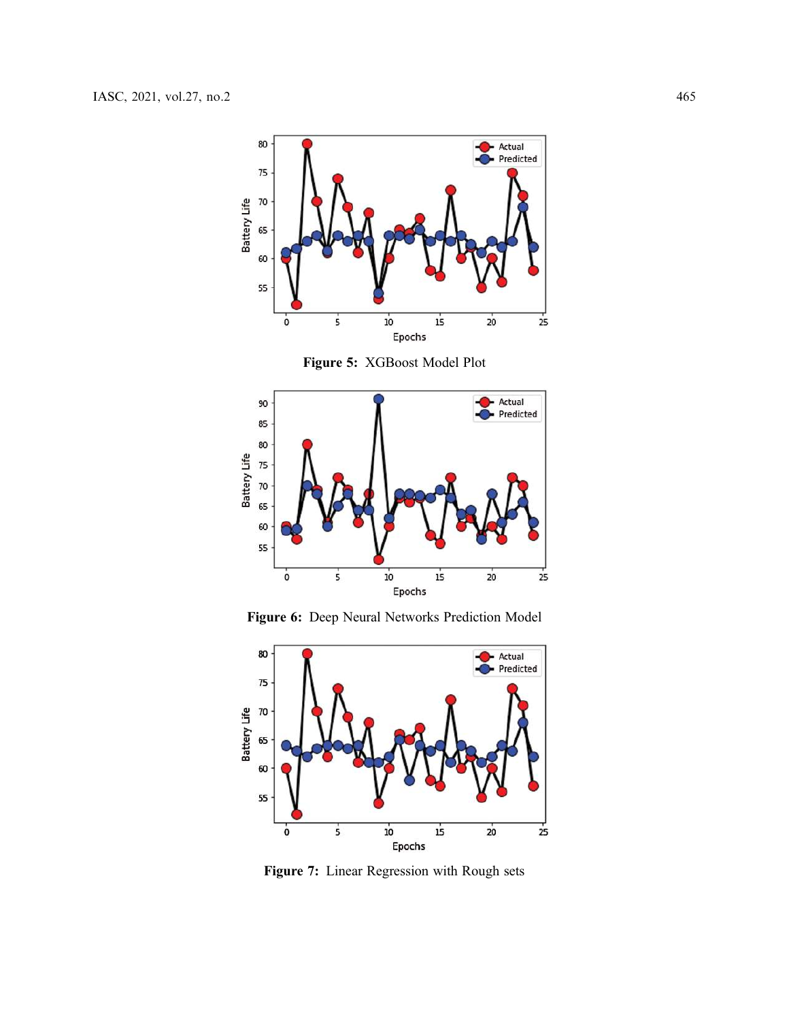

Figure 5: XGBoost Model Plot



Figure 6: Deep Neural Networks Prediction Model



Figure 7: Linear Regression with Rough sets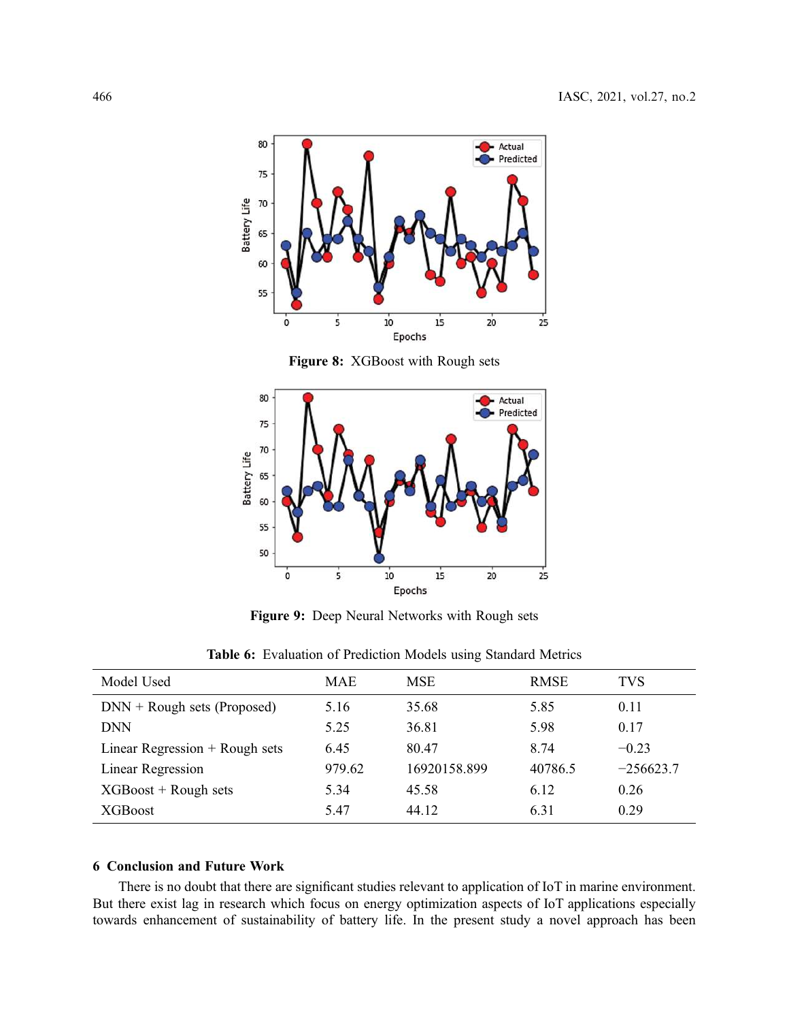

Figure 8: XGBoost with Rough sets



Figure 9: Deep Neural Networks with Rough sets

| Model Used                       | <b>MAE</b> | <b>MSE</b>   | <b>RMSE</b> | <b>TVS</b>  |
|----------------------------------|------------|--------------|-------------|-------------|
| $DNN + Rough sets (Proposed)$    | 5.16       | 35.68        | 5.85        | 0.11        |
| <b>DNN</b>                       | 5.25       | 36.81        | 5.98        | 0.17        |
| Linear Regression $+$ Rough sets | 6.45       | 80.47        | 8.74        | $-0.23$     |
| Linear Regression                | 979.62     | 16920158.899 | 40786.5     | $-256623.7$ |
| $XGBoost + Rough sets$           | 5.34       | 45.58        | 6.12        | 0.26        |
| XGBoost                          | 5.47       | 44.12        | 6.31        | 0.29        |

Table 6: Evaluation of Prediction Models using Standard Metrics

## 6 Conclusion and Future Work

There is no doubt that there are significant studies relevant to application of IoT in marine environment. But there exist lag in research which focus on energy optimization aspects of IoT applications especially towards enhancement of sustainability of battery life. In the present study a novel approach has been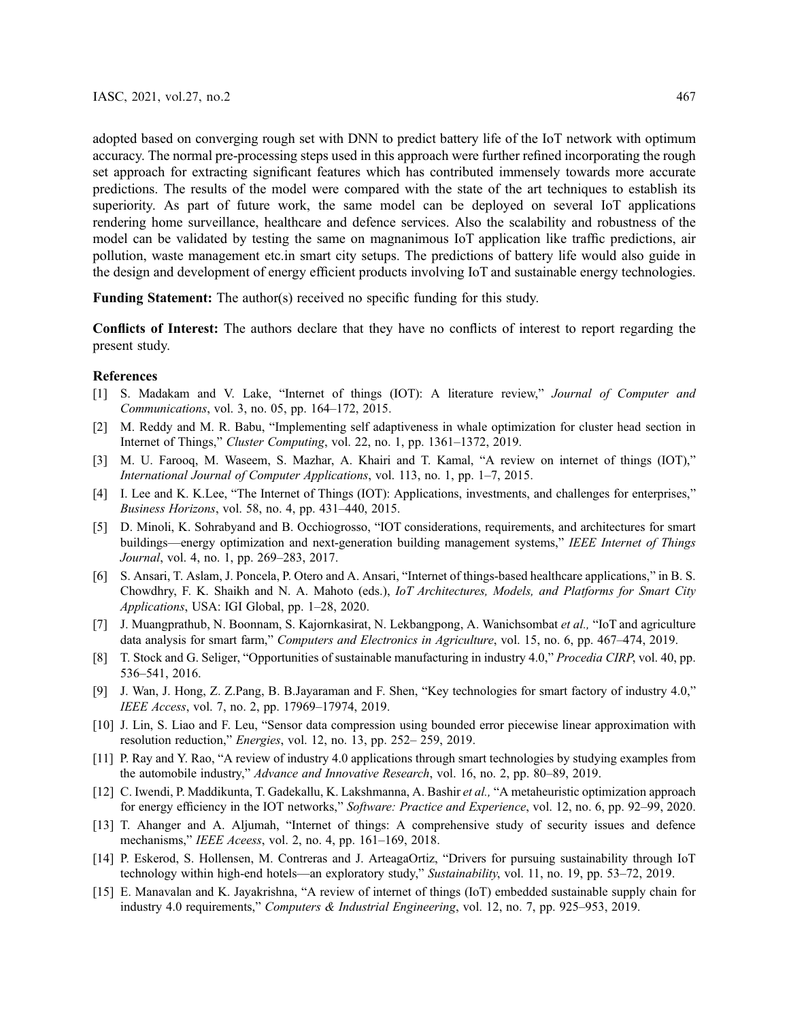adopted based on converging rough set with DNN to predict battery life of the IoT network with optimum accuracy. The normal pre-processing steps used in this approach were further refined incorporating the rough set approach for extracting significant features which has contributed immensely towards more accurate predictions. The results of the model were compared with the state of the art techniques to establish its superiority. As part of future work, the same model can be deployed on several IoT applications rendering home surveillance, healthcare and defence services. Also the scalability and robustness of the model can be validated by testing the same on magnanimous IoT application like traffic predictions, air pollution, waste management etc.in smart city setups. The predictions of battery life would also guide in the design and development of energy efficient products involving IoT and sustainable energy technologies.

Funding Statement: The author(s) received no specific funding for this study.

Conflicts of Interest: The authors declare that they have no conflicts of interest to report regarding the present study.

#### References

- [1] S. Madakam and V. Lake, "Internet of things (IOT): A literature review," *Journal of Computer and Communications*, vol. 3, no. 05, pp. 164–172, 2015.
- [2] M. Reddy and M. R. Babu, "Implementing self adaptiveness in whale optimization for cluster head section in Internet of Things," *Cluster Computing*, vol. 22, no. 1, pp. 1361–1372, 2019.
- [3] M. U. Farooq, M. Waseem, S. Mazhar, A. Khairi and T. Kamal, "A review on internet of things (IOT)," *International Journal of Computer Applications*, vol. 113, no. 1, pp. 1–7, 2015.
- [4] I. Lee and K. K.Lee, "The Internet of Things (IOT): Applications, investments, and challenges for enterprises," *Business Horizons*, vol. 58, no. 4, pp. 431–440, 2015.
- [5] D. Minoli, K. Sohrabyand and B. Occhiogrosso, "IOT considerations, requirements, and architectures for smart buildings—energy optimization and next-generation building management systems," *IEEE Internet of Things Journal*, vol. 4, no. 1, pp. 269–283, 2017.
- [6] S. Ansari, T. Aslam, J. Poncela, P. Otero and A. Ansari, "Internet of things-based healthcare applications," in B. S. Chowdhry, F. K. Shaikh and N. A. Mahoto (eds.), *IoT Architectures, Models, and Platforms for Smart City Applications*, USA: IGI Global, pp. 1–28, 2020.
- [7] J. Muangprathub, N. Boonnam, S. Kajornkasirat, N. Lekbangpong, A. Wanichsombat *et al.,* "IoT and agriculture data analysis for smart farm," *Computers and Electronics in Agriculture*, vol. 15, no. 6, pp. 467–474, 2019.
- [8] T. Stock and G. Seliger, "Opportunities of sustainable manufacturing in industry 4.0," *Procedia CIRP*, vol. 40, pp. 536–541, 2016.
- [9] J. Wan, J. Hong, Z. Z.Pang, B. B.Jayaraman and F. Shen, "Key technologies for smart factory of industry 4.0," *IEEE Access*, vol. 7, no. 2, pp. 17969–17974, 2019.
- [10] J. Lin, S. Liao and F. Leu, "Sensor data compression using bounded error piecewise linear approximation with resolution reduction," *Energies*, vol. 12, no. 13, pp. 252– 259, 2019.
- [11] P. Ray and Y. Rao, "A review of industry 4.0 applications through smart technologies by studying examples from the automobile industry," *Advance and Innovative Research*, vol. 16, no. 2, pp. 80–89, 2019.
- [12] C. Iwendi, P. Maddikunta, T. Gadekallu, K. Lakshmanna, A. Bashir *et al.,* "A metaheuristic optimization approach for energy efficiency in the IOT networks," *Software: Practice and Experience*, vol. 12, no. 6, pp. 92–99, 2020.
- [13] T. Ahanger and A. Aljumah, "Internet of things: A comprehensive study of security issues and defence mechanisms," *IEEE Aceess*, vol. 2, no. 4, pp. 161–169, 2018.
- [14] P. Eskerod, S. Hollensen, M. Contreras and J. ArteagaOrtiz, "Drivers for pursuing sustainability through IoT technology within high-end hotels—an exploratory study," *Sustainability*, vol. 11, no. 19, pp. 53–72, 2019.
- [15] E. Manavalan and K. Jayakrishna, "A review of internet of things (IoT) embedded sustainable supply chain for industry 4.0 requirements," *Computers & Industrial Engineering*, vol. 12, no. 7, pp. 925–953, 2019.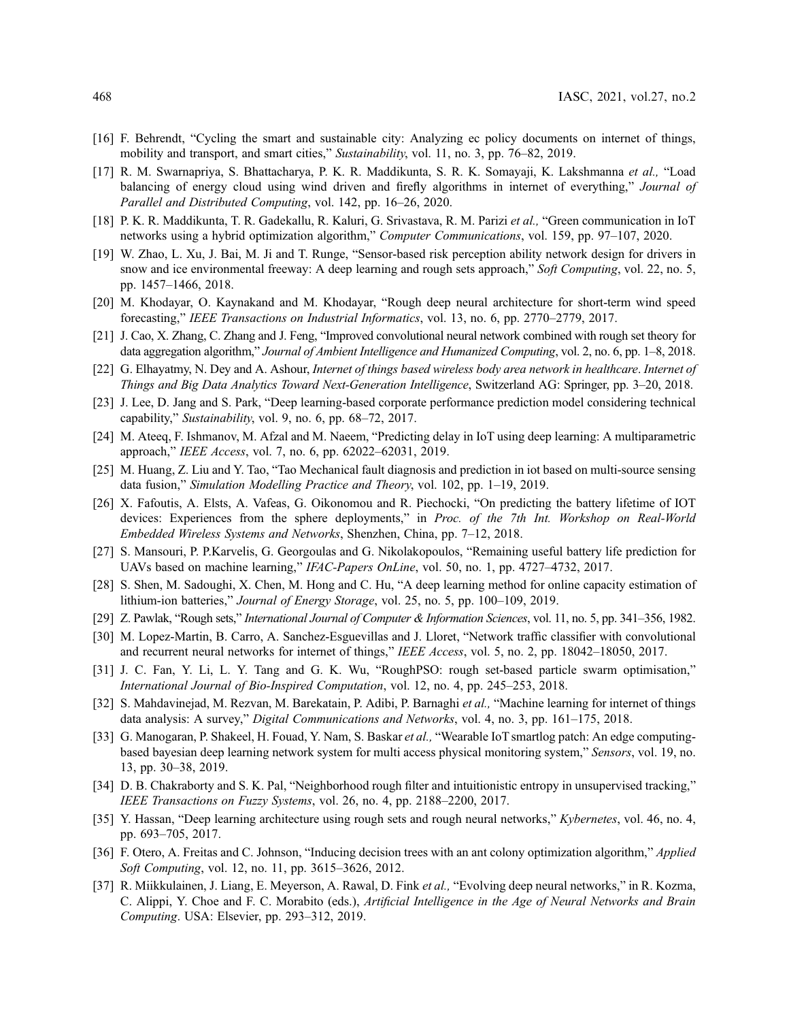- [16] F. Behrendt, "Cycling the smart and sustainable city: Analyzing ec policy documents on internet of things, mobility and transport, and smart cities," *Sustainability*, vol. 11, no. 3, pp. 76–82, 2019.
- [17] R. M. Swarnapriya, S. Bhattacharya, P. K. R. Maddikunta, S. R. K. Somayaji, K. Lakshmanna *et al.,* "Load balancing of energy cloud using wind driven and firefly algorithms in internet of everything," *Journal of Parallel and Distributed Computing*, vol. 142, pp. 16–26, 2020.
- [18] P. K. R. Maddikunta, T. R. Gadekallu, R. Kaluri, G. Srivastava, R. M. Parizi *et al.,* "Green communication in IoT networks using a hybrid optimization algorithm," *Computer Communications*, vol. 159, pp. 97–107, 2020.
- [19] W. Zhao, L. Xu, J. Bai, M. Ji and T. Runge, "Sensor-based risk perception ability network design for drivers in snow and ice environmental freeway: A deep learning and rough sets approach," *Soft Computing*, vol. 22, no. 5, pp. 1457–1466, 2018.
- [20] M. Khodayar, O. Kaynakand and M. Khodayar, "Rough deep neural architecture for short-term wind speed forecasting," *IEEE Transactions on Industrial Informatics*, vol. 13, no. 6, pp. 2770–2779, 2017.
- [21] J. Cao, X. Zhang, C. Zhang and J. Feng, "Improved convolutional neural network combined with rough set theory for data aggregation algorithm," *Journal of Ambient Intelligence and Humanized Computing*, vol. 2, no. 6, pp. 1–8, 2018.
- [22] G. Elhayatmy, N. Dey and A. Ashour, *Internet of things based wireless body area network in healthcare*. *Internet of Things and Big Data Analytics Toward Next-Generation Intelligence*, Switzerland AG: Springer, pp. 3–20, 2018.
- [23] J. Lee, D. Jang and S. Park, "Deep learning-based corporate performance prediction model considering technical capability," *Sustainability*, vol. 9, no. 6, pp. 68–72, 2017.
- [24] M. Ateeq, F. Ishmanov, M. Afzal and M. Naeem, "Predicting delay in IoT using deep learning: A multiparametric approach," *IEEE Access*, vol. 7, no. 6, pp. 62022–62031, 2019.
- [25] M. Huang, Z. Liu and Y. Tao, "Tao Mechanical fault diagnosis and prediction in iot based on multi-source sensing data fusion," *Simulation Modelling Practice and Theory*, vol. 102, pp. 1–19, 2019.
- [26] X. Fafoutis, A. Elsts, A. Vafeas, G. Oikonomou and R. Piechocki, "On predicting the battery lifetime of IOT devices: Experiences from the sphere deployments," in *Proc. of the 7th Int. Workshop on Real-World Embedded Wireless Systems and Networks*, Shenzhen, China, pp. 7–12, 2018.
- [27] S. Mansouri, P. P.Karvelis, G. Georgoulas and G. Nikolakopoulos, "Remaining useful battery life prediction for UAVs based on machine learning," *IFAC-Papers OnLine*, vol. 50, no. 1, pp. 4727–4732, 2017.
- [28] S. Shen, M. Sadoughi, X. Chen, M. Hong and C. Hu, "A deep learning method for online capacity estimation of lithium-ion batteries," *Journal of Energy Storage*, vol. 25, no. 5, pp. 100–109, 2019.
- [29] Z. Pawlak, "Rough sets," *International Journal of Computer & Information Sciences*, vol. 11, no. 5, pp. 341–356, 1982.
- [30] M. Lopez-Martin, B. Carro, A. Sanchez-Esguevillas and J. Lloret, "Network traffic classifier with convolutional and recurrent neural networks for internet of things," *IEEE Access*, vol. 5, no. 2, pp. 18042–18050, 2017.
- [31] J. C. Fan, Y. Li, L. Y. Tang and G. K. Wu, "RoughPSO: rough set-based particle swarm optimisation," *International Journal of Bio-Inspired Computation*, vol. 12, no. 4, pp. 245–253, 2018.
- [32] S. Mahdavinejad, M. Rezvan, M. Barekatain, P. Adibi, P. Barnaghi *et al.,* "Machine learning for internet of things data analysis: A survey," *Digital Communications and Networks*, vol. 4, no. 3, pp. 161–175, 2018.
- [33] G. Manogaran, P. Shakeel, H. Fouad, Y. Nam, S. Baskar *et al.,* "Wearable IoT smartlog patch: An edge computingbased bayesian deep learning network system for multi access physical monitoring system," *Sensors*, vol. 19, no. 13, pp. 30–38, 2019.
- [34] D. B. Chakraborty and S. K. Pal, "Neighborhood rough filter and intuitionistic entropy in unsupervised tracking," *IEEE Transactions on Fuzzy Systems*, vol. 26, no. 4, pp. 2188–2200, 2017.
- [35] Y. Hassan, "Deep learning architecture using rough sets and rough neural networks," *Kybernetes*, vol. 46, no. 4, pp. 693–705, 2017.
- [36] F. Otero, A. Freitas and C. Johnson, "Inducing decision trees with an ant colony optimization algorithm," *Applied Soft Computing*, vol. 12, no. 11, pp. 3615–3626, 2012.
- [37] R. Miikkulainen, J. Liang, E. Meyerson, A. Rawal, D. Fink *et al.,* "Evolving deep neural networks," in R. Kozma, C. Alippi, Y. Choe and F. C. Morabito (eds.), *Arti*fi*cial Intelligence in the Age of Neural Networks and Brain Computing*. USA: Elsevier, pp. 293–312, 2019.